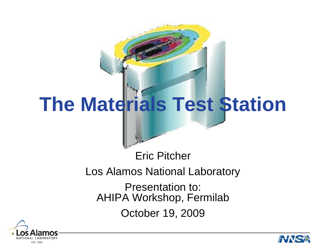# **The Materials Test Station**

## Los Alamos National Laboratory

Eric Pitcher

Presentation to: AHIPA Workshop, Fermilab

October 19, 2009



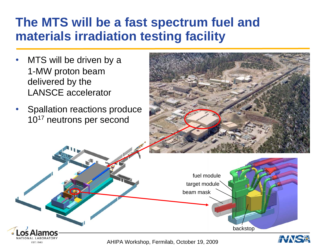#### **The MTS will be a fast spectrum fuel and materials irradiation testing facility**

- • MTS will be driven by a 1-MW proton beam delivered by the LANSCE accelerator
- • Spallation reactions produce 10<sup>17</sup> neutrons per second



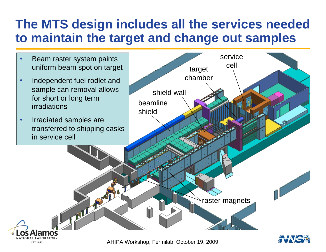#### **The MTS design includes all the services needed to maintain the target and change out samples**



AHIPA Workshop, Fermilab, October 19, 2009

EST. 1943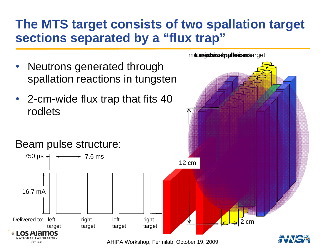#### **The MTS target consists of two spallation target sections separated by a "flux trap"**

m**ateli<del>gisksfuel inpliktiva</del>in s**arget

- $\bullet$  Neutrons generated through spallation reactions in tungsten
- 2-cm-wide flux trap that fits 40 rodlets

### Beam pulse structure:

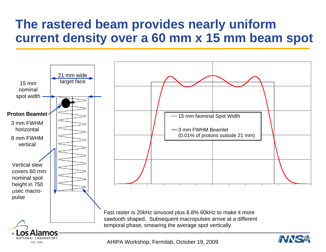#### **The rastered beam provides nearly uniform current density over a 60 mm x 15 mm beam spot**

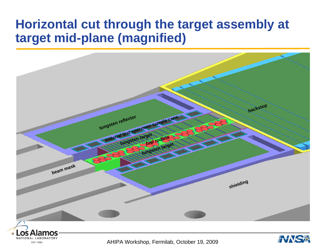#### **Horizontal cut through the target assembly at target mid-plane (magnified)**



AHIPA Workshop, Fermilab, October 19, 2009

EST. 1943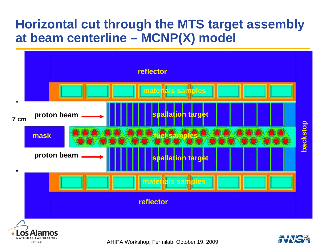#### **Horizontal cut through the MTS target assembly at beam centerline – MCNP(X) model**



NATIONAL LABORATORY EST. 1943

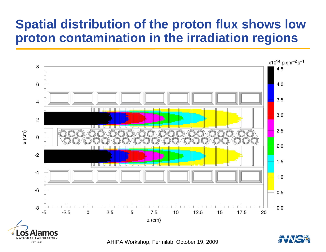#### **Spatial distribution of the proton flux shows low proton contamination in the irradiation regions**

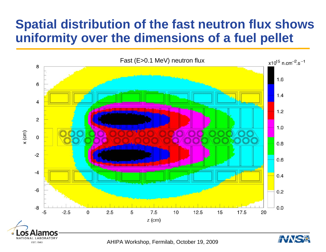#### **Spatial distribution of the fast neutron flux shows uniformity over the dimensions of a fuel pellet**

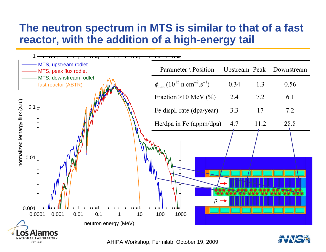#### **The neutron spectrum in MTS is similar to that of a fast reactor, with the addition of a high-energy tail**

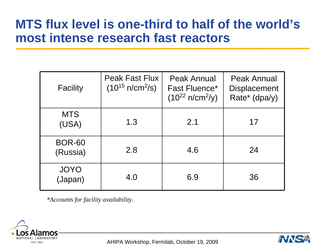#### **MTS flux level is one-third to half of the world's most intense research fast reactors**

| Facility                  | <b>Peak Fast Flux</b><br>$(10^{15} \text{ n/cm}^2/\text{s})$ | <b>Peak Annual</b><br><b>Fast Fluence*</b><br>$(10^{22} \text{ n/cm}^2/\text{y})$ | <b>Peak Annual</b><br><b>Displacement</b><br>Rate* (dpa/y) |
|---------------------------|--------------------------------------------------------------|-----------------------------------------------------------------------------------|------------------------------------------------------------|
| <b>MTS</b><br>(USA)       | 1.3                                                          | 2.1                                                                               | 17                                                         |
| <b>BOR-60</b><br>(Russia) | 2.8                                                          | 4.6                                                                               | 24                                                         |
| <b>JOYO</b><br>(Japan)    | 4.0                                                          | 6.9                                                                               | 36                                                         |

*\*Accounts for facility availability.*



AHIPA Workshop, Fermilab, October 19, 2009

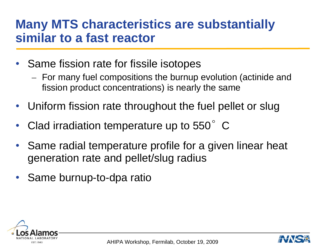#### **Many MTS characteristics are substantially similar to a fast reactor**

- Same fission rate for fissile isotopes
	- – For many fuel compositions the burnup evolution (actinide and fission product concentrations) is nearly the same
- $\bullet$ Uniform fission rate throughout the fuel pellet or slug
- •Clad irradiation temperature up to 550°C
- • Same radial temperature profile for a given linear heat generation rate and pellet/slug radius
- •Same burnup-to-dpa ratio



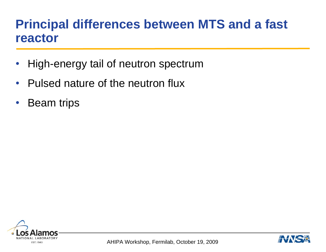#### **Principal differences between MTS and a fast reactor**

- $\bullet$ High-energy tail of neutron spectrum
- $\bullet$ • Pulsed nature of the neutron flux
- $\bullet$ Beam trips



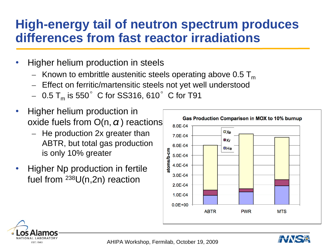#### **High-energy tail of neutron spectrum produces differences from fast reactor irradiations**

- • Higher helium production in steels
	- $-$  Known to embrittle austenitic steels operating above 0.5  ${\sf T}_{{\sf m}}$
	- $-$  Effect on ferritic/martensitic steels not yet well understood
	- $\,$  0.5 T $_{\rm m}$  is 550 $^{\circ}\,$  C for SS316, 610 $^{\circ}\,$  C for T91
- • Higher helium production in oxide fuels from  $O(n, \alpha)$  reactions
	- $-$  He production 2x greater than ABTR, but total gas production is only 10% greater
- • Higher Np production in fertile fuel from  $^{238}$ U(n,2n) reaction





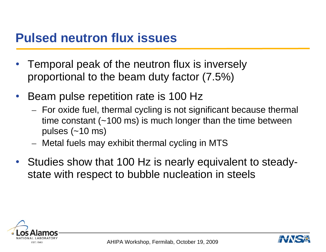#### **Pulsed neutron flux issues**

- • Temporal peak of the neutron flux is inversely proportional to the beam duty factor (7.5%)
- $\bullet$  Beam pulse repetition rate is 100 Hz
	- For oxide fuel, thermal cycling is not significant because thermal time constant (~100 ms) is much longer than the time between pulses (~10 ms)
	- Metal fuels may exhibit thermal cycling in MTS
- • Studies show that 100 Hz is nearly equivalent to steadystate with respect to bubble nucleation in steels



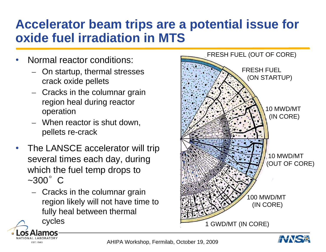#### **Accelerator beam trips are a potential issue for oxide fuel irradiation in MTS**

- • Normal reactor conditions:
	- On startup, thermal stresses crack oxide pellets
	- Cracks in the columnar grain region heal during reactor operation
	- When reactor is shut down, pellets re-crack
- • The LANSCE accelerator will trip several times each day, during which the fuel temp drops to  $\sim$ 300 $\degree$ C
	- Cracks in the columnar grain region likely will not have time to fully heal between thermal

cycles

**EST.1943** 



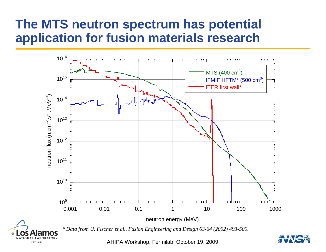#### **The MTS neutron spectrum has potential application for fusion materials research**

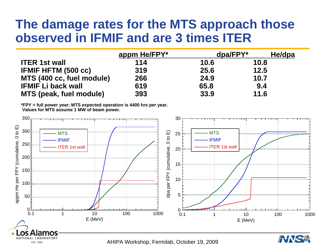#### **The damage rates for the MTS approach those observed in IFMIF and are 3 times ITER**

|                                | appm He/FPY* |      | $dpa/FPY*$<br>He/dpa |  |
|--------------------------------|--------------|------|----------------------|--|
| <b>ITER 1st wall</b>           | 114          | 10.6 | 10.8                 |  |
| <b>IFMIF HFTM (500 cc)</b>     | 319          | 25.6 | 12.5                 |  |
| MTS (400 cc, fuel module)      | 266          | 24.9 | 10.7                 |  |
| <b>IFMIF Li back wall</b>      | 619          | 65.8 | 9.4                  |  |
| <b>MTS (peak, fuel module)</b> | 393          | 33.9 | 11.6                 |  |

**\*FPY = full power year; MTS expected operation is 4400 hrs per year. Values for MTS assume 1 MW of beam power.**

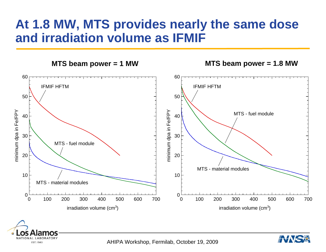#### **At 1.8 MW, MTS provides nearly the same dose and irradiation volume as IFMIF**





AHIPA Workshop, Fermilab, October 19, 2009

EST. 1943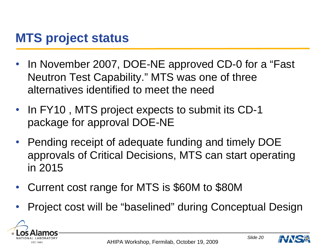#### **MTS project status**

- $\bullet$  In November 2007, DOE-NE approved CD-0 for a "Fast Neutron Test Capability." MTS was one of three alternatives identified to meet the need
- In FY10, MTS project expects to submit its CD-1 package for approval DOE-NE
- • Pending receipt of adequate funding and timely DOE approvals of Critical Decisions, MTS can start operating in 2015
- $\bullet$ Current cost range for MTS is \$60M to \$80M
- •Project cost will be "baselined" during Conceptual Design